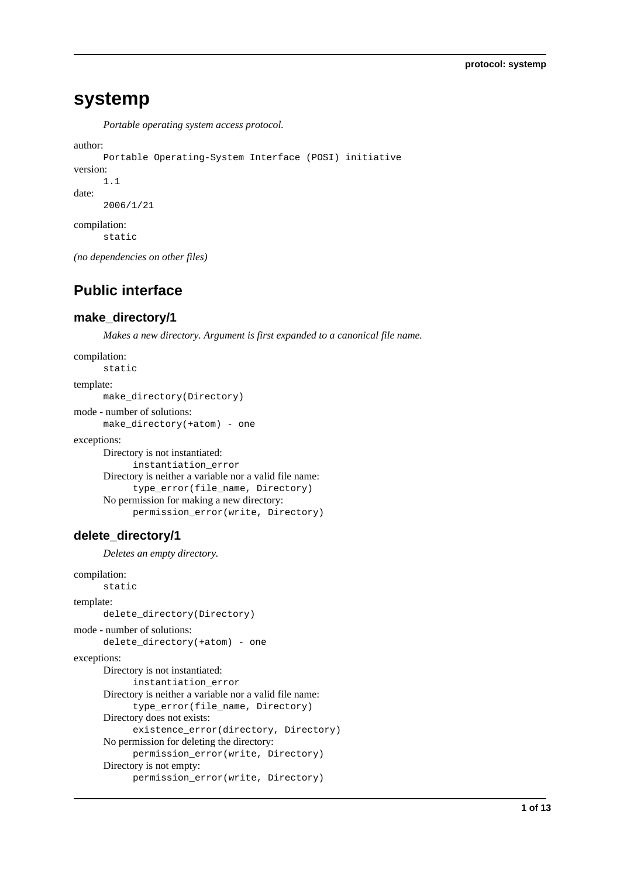# **systemp**

*Portable operating system access protocol.*

```
author:
```

```
Portable Operating-System Interface (POSI) initiative
version:
      1.1
date:
      2006/1/21
compilation:
      static
```
*(no dependencies on other files)*

# **Public interface**

# **make\_directory/1**

*Makes a new directory. Argument is first expanded to a canonical file name.*

```
compilation:
      static
template:
      make_directory(Directory)
```
mode - number of solutions: make\_directory(+atom) - one

exceptions:

```
Directory is not instantiated:
      instantiation_error
Directory is neither a variable nor a valid file name:
      type_error(file_name, Directory)
No permission for making a new directory:
      permission_error(write, Directory)
```
# **delete\_directory/1**

*Deletes an empty directory.*

```
compilation:
      static
template:
      delete_directory(Directory)
mode - number of solutions:
      delete_directory(+atom) - one
exceptions:
      Directory is not instantiated:
            instantiation_error
      Directory is neither a variable nor a valid file name:
            type_error(file_name, Directory)
      Directory does not exists:
            existence_error(directory, Directory)
      No permission for deleting the directory:
            permission_error(write, Directory)
      Directory is not empty:
            permission_error(write, Directory)
```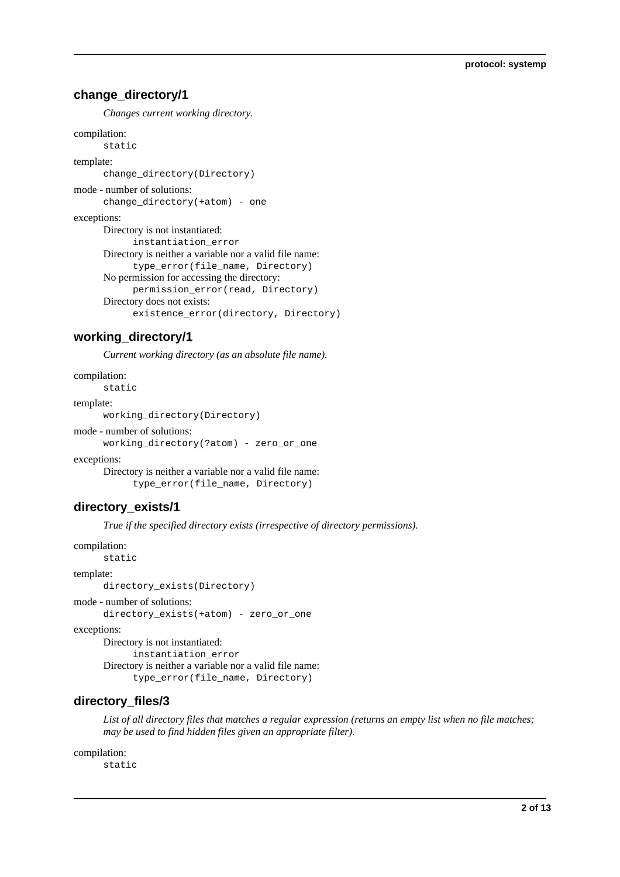## **change\_directory/1**

*Changes current working directory.*

```
compilation:
      static
template:
      change_directory(Directory)
mode - number of solutions:
      change directory(+atom) - one
exceptions:
      Directory is not instantiated:
            instantiation_error
      Directory is neither a variable nor a valid file name:
            type_error(file_name, Directory)
      No permission for accessing the directory:
            permission_error(read, Directory)
      Directory does not exists:
            existence_error(directory, Directory)
```
# **working\_directory/1**

*Current working directory (as an absolute file name).*

```
compilation:
      static
template:
```
working\_directory(Directory)

#### mode - number of solutions:

working\_directory(?atom) - zero\_or\_one

exceptions:

Directory is neither a variable nor a valid file name: type\_error(file\_name, Directory)

# **directory\_exists/1**

*True if the specified directory exists (irrespective of directory permissions).*

```
compilation:
      static
```
template:

directory\_exists(Directory)

```
mode - number of solutions:
```
directory\_exists(+atom) - zero\_or\_one

exceptions:

Directory is not instantiated: instantiation\_error Directory is neither a variable nor a valid file name: type\_error(file\_name, Directory)

# **directory\_files/3**

*List of all directory files that matches a regular expression (returns an empty list when no file matches; may be used to find hidden files given an appropriate filter).*

#### compilation:

static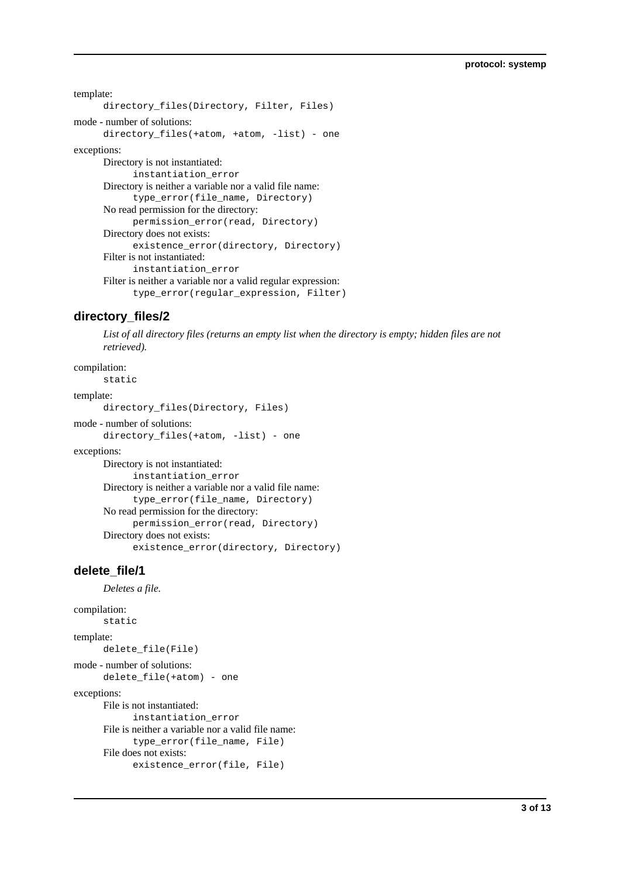```
template:
      directory_files(Directory, Filter, Files)
mode - number of solutions:
      directory_files(+atom, +atom, -list) - one
exceptions:
      Directory is not instantiated:
            instantiation_error
      Directory is neither a variable nor a valid file name:
            type_error(file_name, Directory)
      No read permission for the directory:
            permission_error(read, Directory)
      Directory does not exists:
            existence_error(directory, Directory)
      Filter is not instantiated:
            instantiation_error
      Filter is neither a variable nor a valid regular expression:
            type_error(regular_expression, Filter)
```
# **directory\_files/2**

*List of all directory files (returns an empty list when the directory is empty; hidden files are not retrieved).*

compilation:

static

### template:

directory\_files(Directory, Files)

```
mode - number of solutions:
```
directory\_files(+atom, -list) - one

```
exceptions:
```
Directory is not instantiated: instantiation\_error Directory is neither a variable nor a valid file name: type\_error(file\_name, Directory) No read permission for the directory: permission\_error(read, Directory) Directory does not exists: existence\_error(directory, Directory)

# **delete\_file/1**

*Deletes a file.*

```
compilation:
      static
template:
      delete_file(File)
mode - number of solutions:
      delete_file(+atom) - one
exceptions:
      File is not instantiated:
            instantiation_error
      File is neither a variable nor a valid file name:
            type_error(file_name, File)
      File does not exists:
            existence_error(file, File)
```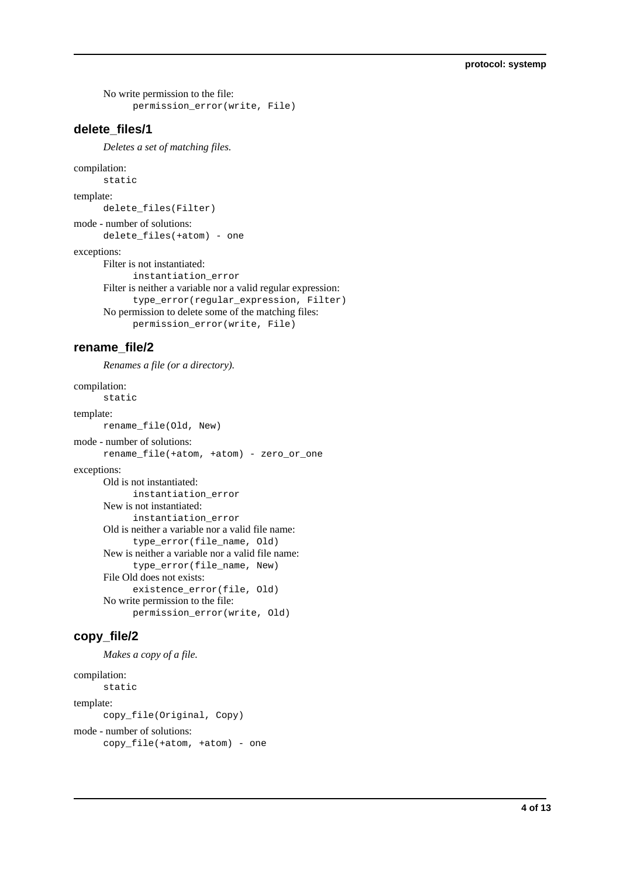No write permission to the file: permission\_error(write, File)

### **delete\_files/1**

*Deletes a set of matching files.*

#### compilation:

static

template:

delete\_files(Filter)

mode - number of solutions:

delete\_files(+atom) - one

exceptions:

Filter is not instantiated: instantiation\_error Filter is neither a variable nor a valid regular expression: type\_error(regular\_expression, Filter) No permission to delete some of the matching files: permission\_error(write, File)

## **rename\_file/2**

*Renames a file (or a directory).*

#### compilation:

```
static
template:
      rename_file(Old, New)
mode - number of solutions:
      rename_file(+atom, +atom) - zero_or_one
exceptions:
      Old is not instantiated:
            instantiation_error
      New is not instantiated:
            instantiation_error
      Old is neither a variable nor a valid file name:
            type_error(file_name, Old)
      New is neither a variable nor a valid file name:
            type_error(file_name, New)
      File Old does not exists:
            existence_error(file, Old)
      No write permission to the file:
            permission_error(write, Old)
```
## **copy\_file/2**

```
Makes a copy of a file.
```
## compilation: static template:

copy\_file(Original, Copy) mode - number of solutions: copy\_file(+atom, +atom) - one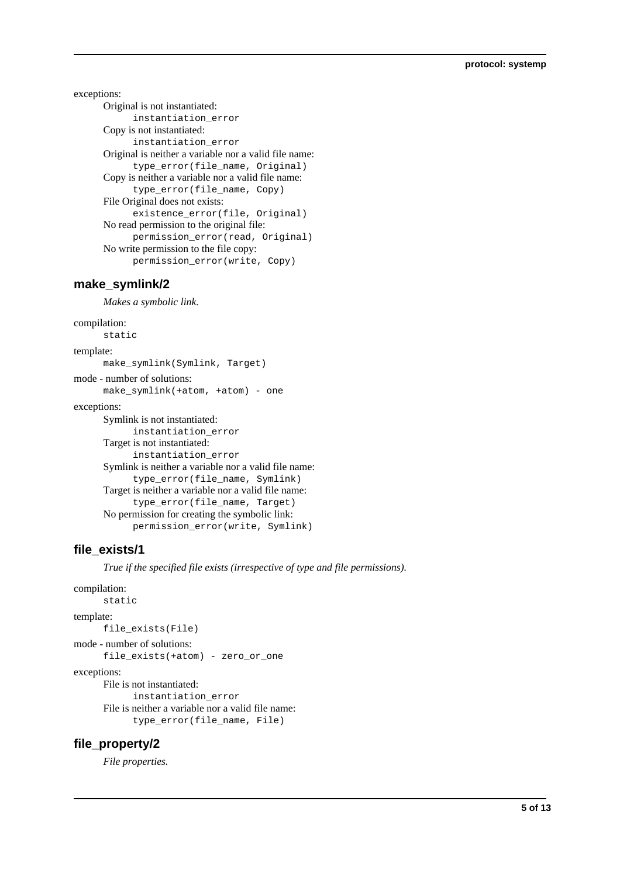exceptions:

Original is not instantiated: instantiation\_error Copy is not instantiated: instantiation\_error Original is neither a variable nor a valid file name: type\_error(file\_name, Original) Copy is neither a variable nor a valid file name: type\_error(file\_name, Copy) File Original does not exists: existence error(file, Original) No read permission to the original file: permission\_error(read, Original) No write permission to the file copy: permission\_error(write, Copy)

## **make\_symlink/2**

*Makes a symbolic link.*

```
compilation:
      static
template:
      make_symlink(Symlink, Target)
mode - number of solutions:
      make_symlink(+atom, +atom) - one
exceptions:
      Symlink is not instantiated:
            instantiation_error
      Target is not instantiated:
            instantiation_error
      Symlink is neither a variable nor a valid file name:
            type_error(file_name, Symlink)
      Target is neither a variable nor a valid file name:
            type_error(file_name, Target)
      No permission for creating the symbolic link:
            permission_error(write, Symlink)
```
## **file\_exists/1**

*True if the specified file exists (irrespective of type and file permissions).*

```
compilation:
```

```
static
template:
      file_exists(File)
mode - number of solutions:
      file_exists(+atom) - zero_or_one
exceptions:
      File is not instantiated:
            instantiation_error
      File is neither a variable nor a valid file name:
            type_error(file_name, File)
```
## **file\_property/2**

*File properties.*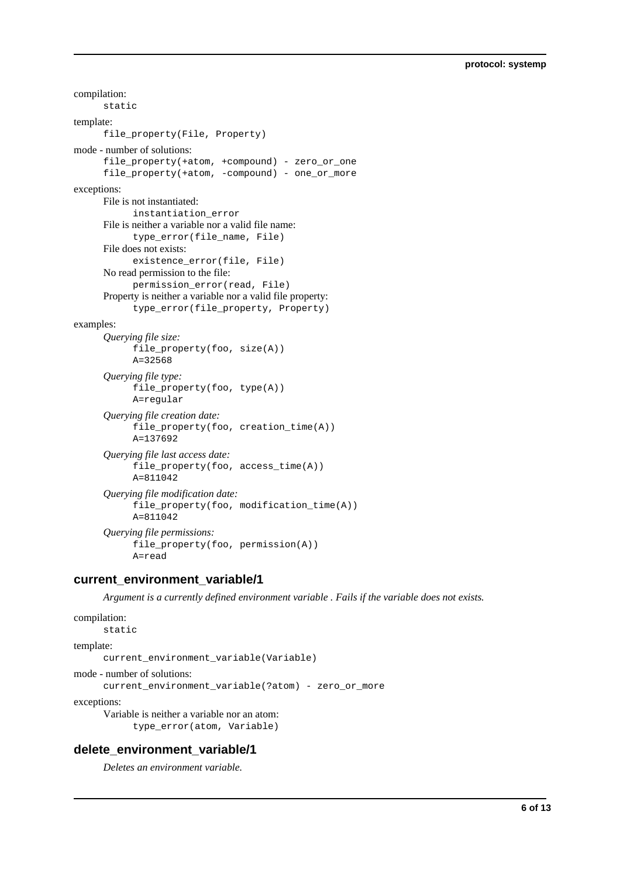```
compilation:
      static
template:
      file_property(File, Property)
mode - number of solutions:
      file_property(+atom, +compound) - zero_or_one
      file_property(+atom, -compound) - one_or_more
exceptions:
      File is not instantiated:
            instantiation_error
      File is neither a variable nor a valid file name:
            type_error(file_name, File)
      File does not exists:
            existence_error(file, File)
      No read permission to the file:
            permission_error(read, File)
      Property is neither a variable nor a valid file property:
            type_error(file_property, Property)
examples:
      Querying file size:
            file_property(foo, size(A))
            A=32568
      Querying file type:
            file_property(foo, type(A))
            A=regular
      Querying file creation date:
            file_property(foo, creation_time(A))
            A=137692
      Querying file last access date:
            file_property(foo, access_time(A))
            A = 811042Querying file modification date:
            file_property(foo, modification_time(A))
            A=811042
      Querying file permissions:
            file_property(foo, permission(A))
            A=read
```
## **current\_environment\_variable/1**

*Argument is a currently defined environment variable . Fails if the variable does not exists.*

```
compilation:
```

```
static
```
template:

current environment variable(Variable)

```
mode - number of solutions:
```
current\_environment\_variable(?atom) - zero\_or\_more

exceptions:

Variable is neither a variable nor an atom: type\_error(atom, Variable)

## **delete\_environment\_variable/1**

*Deletes an environment variable.*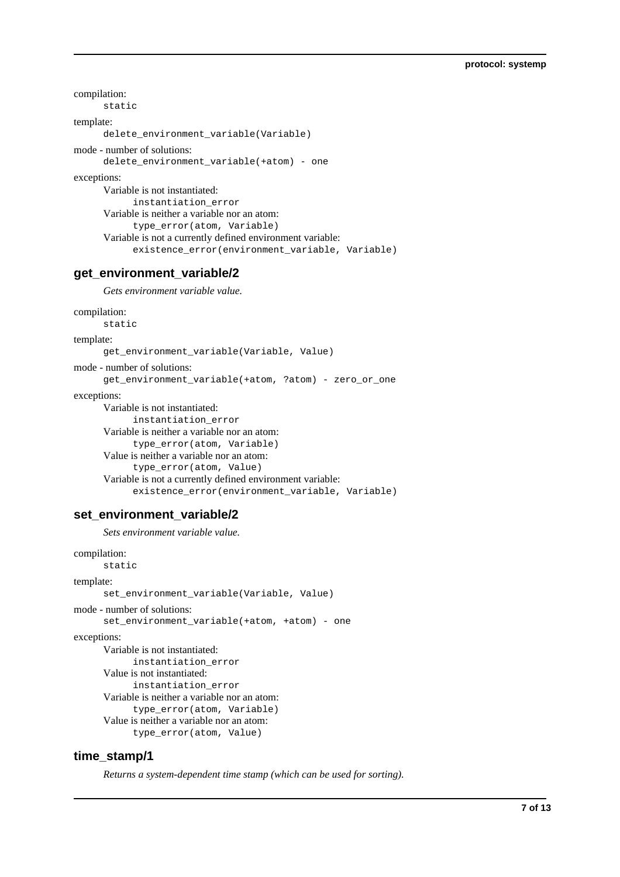```
compilation:
      static
template:
      delete_environment_variable(Variable)
mode - number of solutions:
      delete_environment_variable(+atom) - one
exceptions:
      Variable is not instantiated:
            instantiation_error
      Variable is neither a variable nor an atom:
            type_error(atom, Variable)
      Variable is not a currently defined environment variable:
            existence_error(environment_variable, Variable)
```
## **get\_environment\_variable/2**

*Gets environment variable value.*

```
compilation:
```

```
static
```

```
template:
```

```
get_environment_variable(Variable, Value)
```
mode - number of solutions:

```
get_environment_variable(+atom, ?atom) - zero_or_one
```
exceptions:

```
Variable is not instantiated:
      instantiation_error
Variable is neither a variable nor an atom:
      type_error(atom, Variable)
Value is neither a variable nor an atom:
      type_error(atom, Value)
Variable is not a currently defined environment variable:
      existence_error(environment_variable, Variable)
```
#### set environment variable/2

*Sets environment variable value.*

```
compilation:
      static
```

```
template:
      set_environment_variable(Variable, Value)
mode - number of solutions:
      set_environment_variable(+atom, +atom) - one
exceptions:
      Variable is not instantiated:
            instantiation_error
      Value is not instantiated:
            instantiation_error
      Variable is neither a variable nor an atom:
            type_error(atom, Variable)
      Value is neither a variable nor an atom:
            type_error(atom, Value)
```
## **time\_stamp/1**

*Returns a system-dependent time stamp (which can be used for sorting).*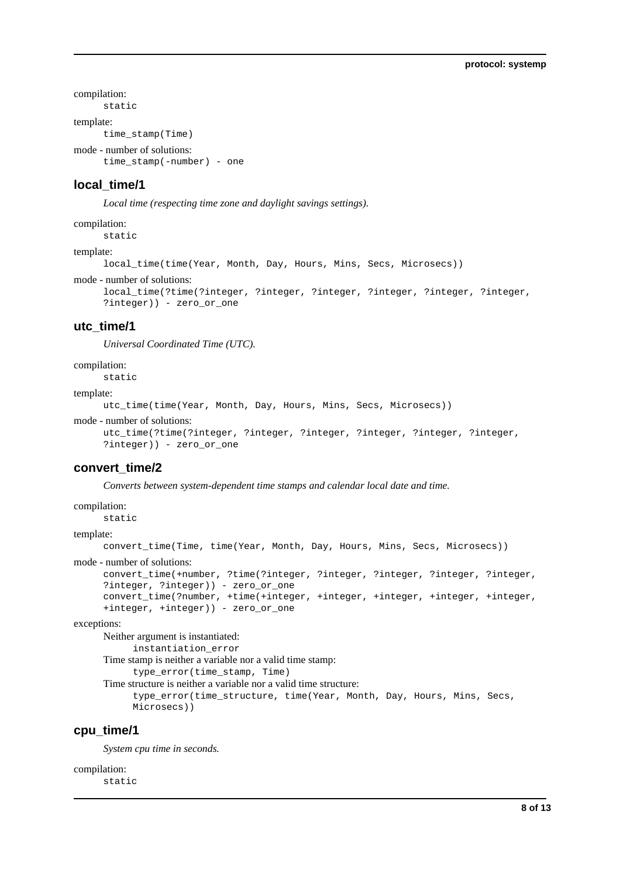compilation:

static template:

time\_stamp(Time)

```
mode - number of solutions:
```
time\_stamp(-number) - one

## **local\_time/1**

*Local time (respecting time zone and daylight savings settings).*

#### compilation:

static

#### template:

local\_time(time(Year, Month, Day, Hours, Mins, Secs, Microsecs))

#### mode - number of solutions:

```
local_time(?time(?integer, ?integer, ?integer, ?integer, ?integer, ?integer,
?integer)) - zero_or_one
```
#### **utc\_time/1**

*Universal Coordinated Time (UTC).*

#### compilation:

static

#### template:

utc\_time(time(Year, Month, Day, Hours, Mins, Secs, Microsecs))

```
mode - number of solutions:
```

```
utc_time(?time(?integer, ?integer, ?integer, ?integer, ?integer, ?integer,
?integer)) - zero_or_one
```
#### **convert\_time/2**

*Converts between system-dependent time stamps and calendar local date and time.*

#### compilation:

static

#### template:

convert\_time(Time, time(Year, Month, Day, Hours, Mins, Secs, Microsecs))

#### mode - number of solutions:

```
convert_time(+number, ?time(?integer, ?integer, ?integer, ?integer, ?integer,
?integer, ?integer)) - zero_or_one
convert_time(?number, +time(+integer, +integer, +integer, +integer, +integer,
+integer, +integer)) - zero_or_one
```
exceptions:

Neither argument is instantiated:

instantiation\_error

Time stamp is neither a variable nor a valid time stamp:

type\_error(time\_stamp, Time)

Time structure is neither a variable nor a valid time structure: type\_error(time\_structure, time(Year, Month, Day, Hours, Mins, Secs, Microsecs))

## **cpu\_time/1**

*System cpu time in seconds.*

compilation: static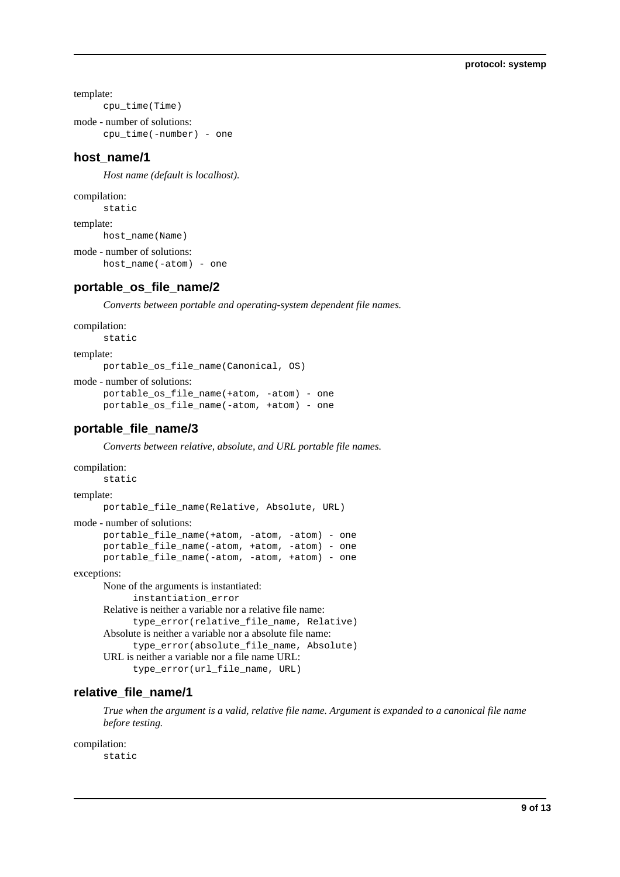template:

```
cpu_time(Time)
```
mode - number of solutions: cpu\_time(-number) - one

## **host\_name/1**

*Host name (default is localhost).*

compilation:

static

template:

host\_name(Name)

mode - number of solutions: host\_name(-atom) - one

### **portable\_os\_file\_name/2**

*Converts between portable and operating-system dependent file names.*

```
compilation:
```

```
static
```
template:

portable\_os\_file\_name(Canonical, OS)

```
mode - number of solutions:
```

```
portable_os_file_name(+atom, -atom) - one
portable_os_file_name(-atom, +atom) - one
```
## **portable\_file\_name/3**

*Converts between relative, absolute, and URL portable file names.*

```
compilation:
      static
template:
      portable_file_name(Relative, Absolute, URL)
mode - number of solutions:
      portable_file_name(+atom, -atom, -atom) - one
      portable_file_name(-atom, +atom, -atom) - one
      portable_file_name(-atom, -atom, +atom) - one
exceptions:
      None of the arguments is instantiated:
            instantiation_error
      Relative is neither a variable nor a relative file name:
            type_error(relative_file_name, Relative)
      Absolute is neither a variable nor a absolute file name:
            type_error(absolute_file_name, Absolute)
      URL is neither a variable nor a file name URL:
            type_error(url_file_name, URL)
```
## **relative\_file\_name/1**

*True when the argument is a valid, relative file name. Argument is expanded to a canonical file name before testing.*

compilation:

static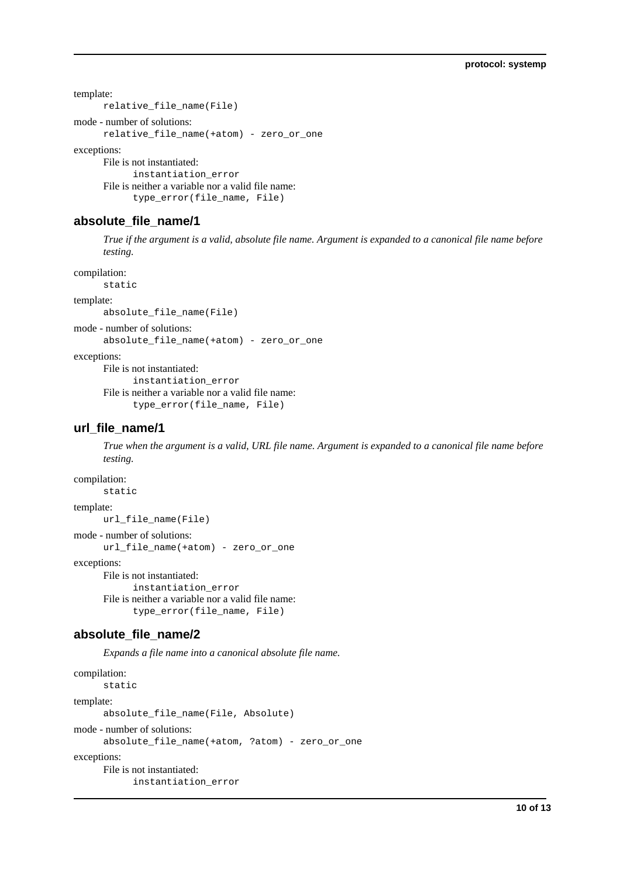template:

```
relative_file_name(File)
```

```
mode - number of solutions:
```
relative\_file\_name(+atom) - zero\_or\_one

exceptions:

File is not instantiated: instantiation\_error File is neither a variable nor a valid file name: type\_error(file\_name, File)

## **absolute\_file\_name/1**

*True if the argument is a valid, absolute file name. Argument is expanded to a canonical file name before testing.*

compilation:

static

template:

absolute\_file\_name(File)

mode - number of solutions:

absolute\_file\_name(+atom) - zero\_or\_one

exceptions:

File is not instantiated:

```
instantiation_error
File is neither a variable nor a valid file name:
      type_error(file_name, File)
```
# **url\_file\_name/1**

*True when the argument is a valid, URL file name. Argument is expanded to a canonical file name before testing.*

compilation:

static

template:

url\_file\_name(File)

mode - number of solutions:

```
url_file_name(+atom) - zero_or_one
```
exceptions:

File is not instantiated: instantiation\_error File is neither a variable nor a valid file name: type\_error(file\_name, File)

# **absolute\_file\_name/2**

*Expands a file name into a canonical absolute file name.*

```
compilation:
      static
template:
      absolute file name(File, Absolute)
mode - number of solutions:
      absolute_file_name(+atom, ?atom) - zero_or_one
exceptions:
      File is not instantiated:
            instantiation_error
```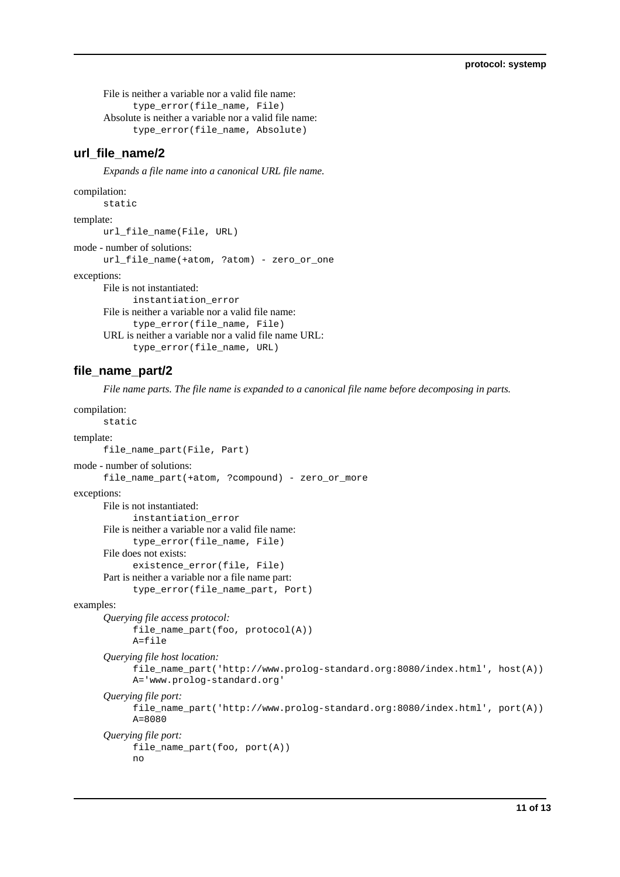File is neither a variable nor a valid file name: type\_error(file\_name, File) Absolute is neither a variable nor a valid file name: type\_error(file\_name, Absolute)

## **url\_file\_name/2**

*Expands a file name into a canonical URL file name.*

```
compilation:
```

```
static
template:
      url_file_name(File, URL)
mode - number of solutions:
      url_file_name(+atom, ?atom) - zero_or_one
exceptions:
      File is not instantiated:
            instantiation_error
      File is neither a variable nor a valid file name:
            type_error(file_name, File)
      URL is neither a variable nor a valid file name URL:
            type_error(file_name, URL)
```
## **file\_name\_part/2**

*File name parts. The file name is expanded to a canonical file name before decomposing in parts.*

```
compilation:
      static
template:
      file_name_part(File, Part)
mode - number of solutions:
      file_name_part(+atom, ?compound) - zero_or_more
exceptions:
      File is not instantiated:
            instantiation_error
      File is neither a variable nor a valid file name:
            type_error(file_name, File)
      File does not exists:
            existence_error(file, File)
      Part is neither a variable nor a file name part:
            type_error(file_name_part, Port)
examples:
      Querying file access protocol:
            file_name_part(foo, protocol(A))
            A=file
      Querying file host location:
            file_name_part('http://www.prolog-standard.org:8080/index.html', host(A))
            A='www.prolog-standard.org'
      Querying file port:
            file_name_part('http://www.prolog-standard.org:8080/index.html', port(A))
            A=8080
      Querying file port:
            file_name_part(foo, port(A))
            no
```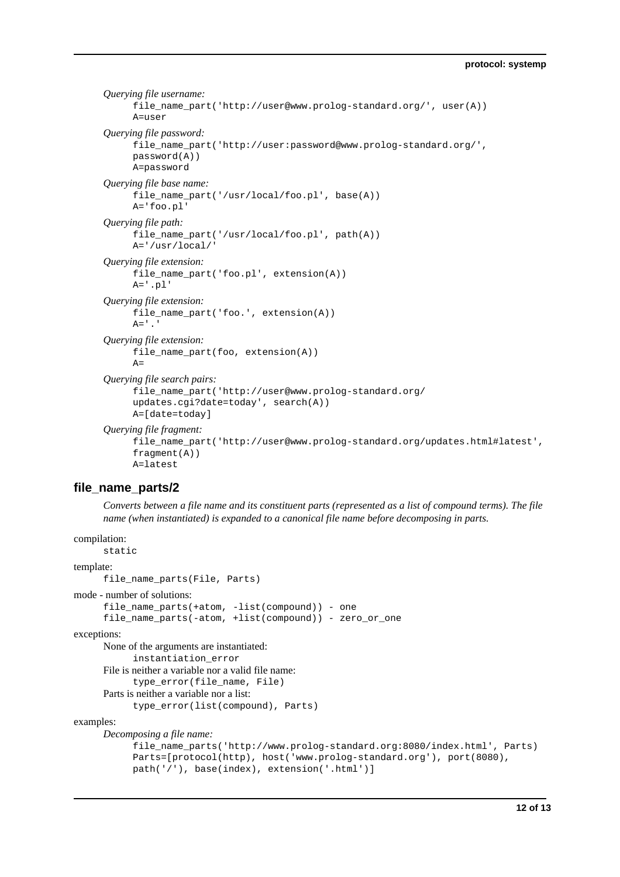*Querying file username:* file\_name\_part('http://user@www.prolog-standard.org/', user(A)) A=user *Querying file password:* file\_name\_part('http://user:password@www.prolog-standard.org/', password(A)) A=password *Querying file base name:* file\_name\_part('/usr/local/foo.pl', base(A)) A='foo.pl' *Querying file path:* file\_name\_part('/usr/local/foo.pl', path(A)) A='/usr/local/' *Querying file extension:* file\_name\_part('foo.pl', extension(A)) A='.pl' *Querying file extension:* file\_name\_part('foo.', extension(A))  $A=$ '.' *Querying file extension:* file\_name\_part(foo, extension(A))  $\Delta=$ *Querying file search pairs:* file\_name\_part('http://user@www.prolog-standard.org/ updates.cgi?date=today', search(A)) A=[date=today] *Querying file fragment:* file\_name\_part('http://user@www.prolog-standard.org/updates.html#latest', fragment(A))

#### **file\_name\_parts/2**

A=latest

*Converts between a file name and its constituent parts (represented as a list of compound terms). The file name (when instantiated) is expanded to a canonical file name before decomposing in parts.*

compilation:

```
static
template:
      file name parts(File, Parts)
mode - number of solutions:
      file_name_parts(+atom, -list(compound)) - one
      file_name_parts(-atom, +list(compound)) - zero_or_one
exceptions:
     None of the arguments are instantiated:
           instantiation_error
      File is neither a variable nor a valid file name:
           type_error(file_name, File)
      Parts is neither a variable nor a list:
           type_error(list(compound), Parts)
examples:
      Decomposing a file name:
           file_name_parts('http://www.prolog-standard.org:8080/index.html', Parts)
           Parts=[protocol(http), host('www.prolog-standard.org'), port(8080),
           path('/'), base(index), extension('.html')]
```